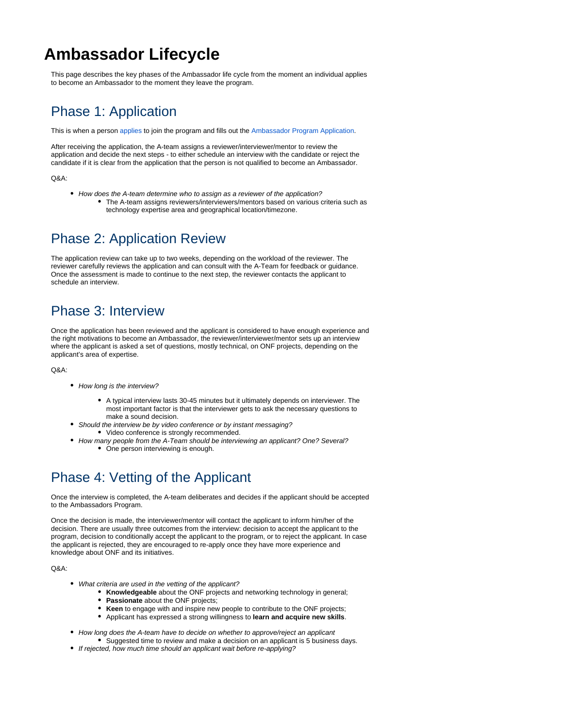# **Ambassador Lifecycle**

This page describes the key phases of the Ambassador life cycle from the moment an individual applies to become an Ambassador to the moment they leave the program.

#### Phase 1: Application

This is when a person [applies](https://forms.gle/PfkunXncognheAad8) to join the program and fills out the [Ambassador Program Application](https://forms.gle/PfkunXncognheAad8).

After receiving the application, the A-team assigns a reviewer/interviewer/mentor to review the application and decide the next steps - to either schedule an interview with the candidate or reject the candidate if it is clear from the application that the person is not qualified to become an Ambassador.

 $ORA$ 

• How does the A-team determine who to assign as a reviewer of the application? The A-team assigns reviewers/interviewers/mentors based on various criteria such as technology expertise area and geographical location/timezone.

# Phase 2: Application Review

The application review can take up to two weeks, depending on the workload of the reviewer. The reviewer carefully reviews the application and can consult with the A-Team for feedback or guidance. Once the assessment is made to continue to the next step, the reviewer contacts the applicant to schedule an interview.

### Phase 3: Interview

Once the application has been reviewed and the applicant is considered to have enough experience and the right motivations to become an Ambassador, the reviewer/interviewer/mentor sets up an interview where the applicant is asked a set of questions, mostly technical, on ONF projects, depending on the applicant's area of expertise.

Q&A:

- How long is the interview?
	- A typical interview lasts 30-45 minutes but it ultimately depends on interviewer. The most important factor is that the interviewer gets to ask the necessary questions to make a sound decision.
- Should the interview be by video conference or by instant messaging? Video conference is strongly recommended.
- How many people from the A-Team should be interviewing an applicant? One? Several? • One person interviewing is enough.

### Phase 4: Vetting of the Applicant

Once the interview is completed, the A-team deliberates and decides if the applicant should be accepted to the Ambassadors Program.

Once the decision is made, the interviewer/mentor will contact the applicant to inform him/her of the decision. There are usually three outcomes from the interview: decision to accept the applicant to the program, decision to conditionally accept the applicant to the program, or to reject the applicant. In case the applicant is rejected, they are encouraged to re-apply once they have more experience and knowledge about ONF and its initiatives.

Q&A:

- What criteria are used in the vetting of the applicant?
	- **Knowledgeable** about the ONF projects and networking technology in general;
	- **Passionate** about the ONF projects;
	- **Keen** to engage with and inspire new people to contribute to the ONF projects;
	- Applicant has expressed a strong willingness to **learn and acquire new skills**.
- How long does the A-team have to decide on whether to approve/reject an applicant Suggested time to review and make a decision on an applicant is 5 business days.
- If rejected, how much time should an applicant wait before re-applying?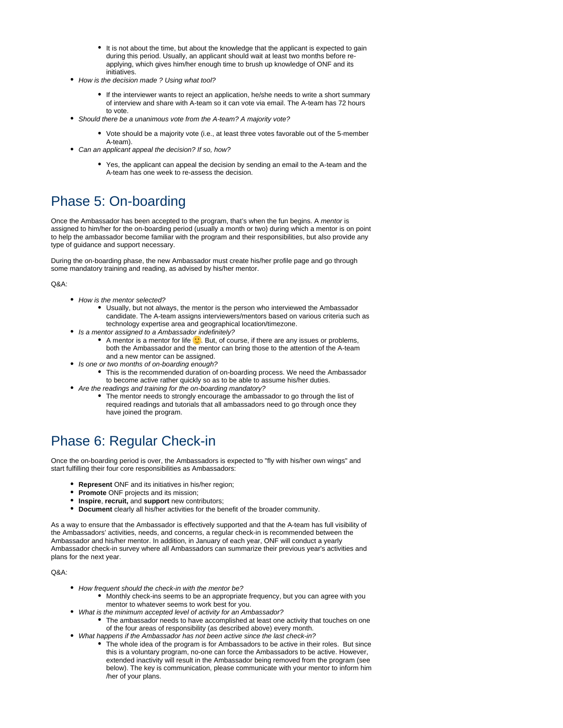- It is not about the time, but about the knowledge that the applicant is expected to gain during this period. Usually, an applicant should wait at least two months before reapplying, which gives him/her enough time to brush up knowledge of ONF and its initiatives.
- How is the decision made ? Using what tool?
	- If the interviewer wants to reject an application, he/she needs to write a short summary of interview and share with A-team so it can vote via email. The A-team has 72 hours to vote.
- Should there be a unanimous vote from the A-team? A majority vote?
	- Vote should be a majority vote (i.e., at least three votes favorable out of the 5-member A-team).
- Can an applicant appeal the decision? If so, how?
	- Yes, the applicant can appeal the decision by sending an email to the A-team and the A-team has one week to re-assess the decision.

#### Phase 5: On-boarding

Once the Ambassador has been accepted to the program, that's when the fun begins. A mentor is assigned to him/her for the on-boarding period (usually a month or two) during which a mentor is on point to help the ambassador become familiar with the program and their responsibilities, but also provide any type of guidance and support necessary.

During the on-boarding phase, the new Ambassador must create his/her profile page and go through some mandatory training and reading, as advised by his/her mentor.

 $ORA$ 

- How is the mentor selected?
	- Usually, but not always, the mentor is the person who interviewed the Ambassador candidate. The A-team assigns interviewers/mentors based on various criteria such as technology expertise area and geographical location/timezone.
- Is a mentor assigned to a Ambassador indefinitely?
	- A mentor is a mentor for life  $\mathbb{C}$ . But, of course, if there are any issues or problems, both the Ambassador and the mentor can bring those to the attention of the A-team and a new mentor can be assigned.
- Is one or two months of on-boarding enough?
	- This is the recommended duration of on-boarding process. We need the Ambassador to become active rather quickly so as to be able to assume his/her duties.
- Are the readings and training for the on-boarding mandatory?
	- The mentor needs to strongly encourage the ambassador to go through the list of required readings and tutorials that all ambassadors need to go through once they have joined the program.

### Phase 6: Regular Check-in

Once the on-boarding period is over, the Ambassadors is expected to "fly with his/her own wings" and start fulfilling their four core responsibilities as Ambassadors:

- **Represent** ONF and its initiatives in his/her region;
- $\bullet$ **Promote** ONF projects and its mission;
- **Inspire**, **recruit,** and **support** new contributors;
- **Document** clearly all his/her activities for the benefit of the broader community.

As a way to ensure that the Ambassador is effectively supported and that the A-team has full visibility of the Ambassadors' activities, needs, and concerns, a regular check-in is recommended between the Ambassador and his/her mentor. In addition, in January of each year, ONF will conduct a yearly Ambassador check-in survey where all Ambassadors can summarize their previous year's activities and plans for the next year.

Q&A:

- How frequent should the check-in with the mentor be?
	- Monthly check-ins seems to be an appropriate frequency, but you can agree with you mentor to whatever seems to work best for you.
	- What is the minimum accepted level of activity for an Ambassador?
	- The ambassador needs to have accomplished at least one activity that touches on one of the four areas of responsibility (as described above) every month.
- What happens if the Ambassador has not been active since the last check-in?
	- The whole idea of the program is for Ambassadors to be active in their roles. But since this is a voluntary program, no-one can force the Ambassadors to be active. However, extended inactivity will result in the Ambassador being removed from the program (see below). The key is communication, please communicate with your mentor to inform him /her of your plans.